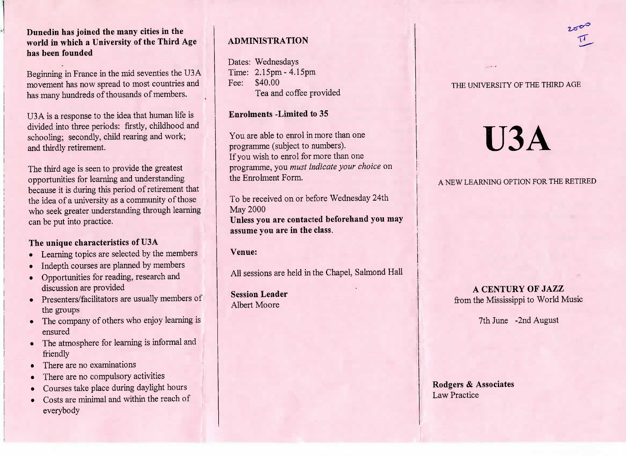**Dunedin has joined the many cities in the world in which a University of the Third Agehas been founded**

Beginning in France in the mid seventies the USA movement has now spread to most countries andhas many hundreds of thousands of members.

U3A is a response to the idea that human life islivided into three periods: firstly, childhood and schooling; secondly, child rearing and work;and thirdly retirement.

The third age is seen to provide the greatest opportunities for learning and understanding because it is during this period of retirement thatthe idea of a university as a community of thosewho seek greater understanding through learning can be put into practice.

#### **The unique characteristics of U3A**

- Learning topics are selected by the members
- Indepth courses are planned by members
- Opportunities for reading, research anddiscussion are provided
- Presenters/facilitators are usually members of the groups
- The company of others who enjoy learning isensured
- The atmosphere for learning is informal andfriendly
- There are no examinations
- There are no compulsory activities
- Courses take place during daylight hours
- Costs are minimal and within the reach of everybody

## **ADMINISTRATION**

Dates: Wednesdays $Time: 2.15pm - 4.15pm$ Fee: \$40.00ea and coffee provided

**Enrolments -Limited to** 35

You are able to enrol in more than oneprogramme (subject to numbers).f you wish to enrol for more than one programme, you *must indicate your choice* onthe Enrolment Form.

To be received on or before Wednesday 24thMay 2000 **Unless you are contacted beforehand you mayassume you are in the class.**

**Venue:**

All sessions are held in the Chapel, Salmond Hall

**Session Leader**Albert Moore

#### THE UNIVERSITY OF THE THIRD AGE

# **U3A**

# A NEW LEARNING OPTION FOR THE RETIRED

# **A CENTURY OF JAZZ**from the Mississippi to World Music

7th June -2nd August

#### **Rodgers & Associates**Law Practice